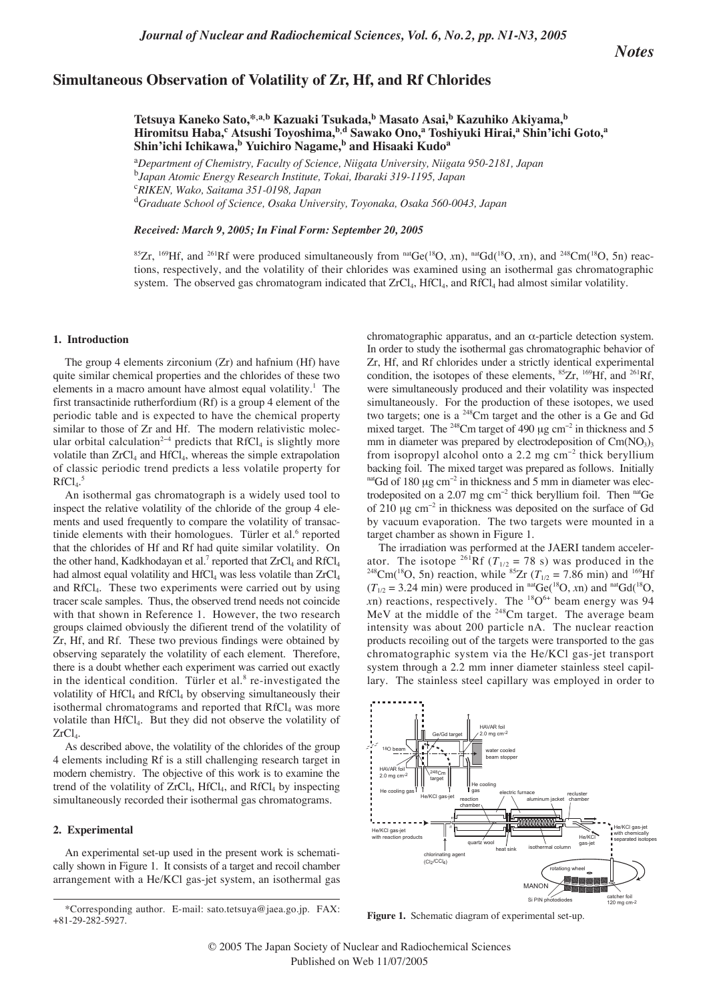# **Simultaneous Observation of Volatility of Zr, Hf, and Rf Chlorides**

**Tetsuya Kaneko Sato,\*,a,b Kazuaki Tsukada,<sup>b</sup> Masato Asai,<sup>b</sup> Kazuhiko Akiyama,b Hiromitsu Haba,c Atsushi Toyoshima,b,d Sawako Ono,<sup>a</sup> Toshiyuki Hirai,a Shin'ichi Goto,a** Shin'ichi Ichikawa,<sup>b</sup> Yuichiro Nagame,<sup>b</sup> and Hisaaki Kudo<sup>a</sup>

a *Department of Chemistry, Faculty of Science, Niigata University, Niigata 950-2181, Japan*  b *Japan Atomic Energy Research Institute, Tokai, Ibaraki 319-1195, Japan*  c *RIKEN, Wako, Saitama 351-0198, Japan*  d *Graduate School of Science, Osaka University, Toyonaka, Osaka 560-0043, Japan*

*Received: March 9, 2005; In Final Form: September 20, 2005*

<sup>85</sup>Zr, <sup>169</sup>Hf, and <sup>261</sup>Rf were produced simultaneously from <sup>nat</sup>Ge(<sup>18</sup>O, *xn*), <sup>nat</sup>Gd(<sup>18</sup>O, *xn*), and <sup>248</sup>Cm(<sup>18</sup>O, 5n) reactions, respectively, and the volatility of their chlorides was examined using an isothermal gas chromatographic system. The observed gas chromatogram indicated that  $ZrCl_4$ , HfCl<sub>4</sub>, and RfCl<sub>4</sub> had almost similar volatility.

### **1. Introduction**

The group 4 elements zirconium (Zr) and hafnium (Hf) have quite similar chemical properties and the chlorides of these two elements in a macro amount have almost equal volatility.<sup>1</sup> The first transactinide rutherfordium (Rf) is a group 4 element of the periodic table and is expected to have the chemical property similar to those of Zr and Hf. The modern relativistic molecular orbital calculation<sup>2−4</sup> predicts that RfCl<sub>4</sub> is slightly more volatile than ZrCl<sub>4</sub> and HfCl<sub>4</sub>, whereas the simple extrapolation of classic periodic trend predicts a less volatile property for  $RfCl<sub>4</sub>$ .<sup>5</sup>

An isothermal gas chromatograph is a widely used tool to inspect the relative volatility of the chloride of the group 4 elements and used frequently to compare the volatility of transactinide elements with their homologues. Türler et al. $6$  reported that the chlorides of Hf and Rf had quite similar volatility. On the other hand, Kadkhodayan et al.<sup>7</sup> reported that  $ZrCl<sub>4</sub>$  and  $RfCl<sub>4</sub>$ had almost equal volatility and  $HfCl<sub>4</sub>$  was less volatile than  $ZrCl<sub>4</sub>$ and RfCl4. These two experiments were carried out by using tracer scale samples. Thus, the observed trend needs not coincide with that shown in Reference 1. However, the two research groups claimed obviously the difierent trend of the volatility of Zr, Hf, and Rf. These two previous findings were obtained by observing separately the volatility of each element. Therefore, there is a doubt whether each experiment was carried out exactly in the identical condition. Türler et al. $8$  re-investigated the volatility of  $HfCl<sub>4</sub>$  and  $RfCl<sub>4</sub>$  by observing simultaneously their isothermal chromatograms and reported that  $RfCl<sub>4</sub>$  was more volatile than HfCl4. But they did not observe the volatility of  $ZrCl<sub>4</sub>$ .

As described above, the volatility of the chlorides of the group 4 elements including Rf is a still challenging research target in modern chemistry. The objective of this work is to examine the trend of the volatility of  $ZrCl_4$ ,  $HfCl_4$ , and  $RfCl_4$  by inspecting simultaneously recorded their isothermal gas chromatograms.

#### **2. Experimental**

An experimental set-up used in the present work is schematically shown in Figure 1. It consists of a target and recoil chamber arrangement with a He/KCl gas-jet system, an isothermal gas

chromatographic apparatus, and an α-particle detection system. In order to study the isothermal gas chromatographic behavior of Zr, Hf, and Rf chlorides under a strictly identical experimental condition, the isotopes of these elements,  ${}^{85}Zr$ ,  ${}^{169}Hf$ , and  ${}^{261}Rf$ , were simultaneously produced and their volatility was inspected simultaneously. For the production of these isotopes, we used two targets; one is a 248Cm target and the other is a Ge and Gd mixed target. The <sup>248</sup>Cm target of 490  $\mu$ g cm<sup>-2</sup> in thickness and 5 mm in diameter was prepared by electrodeposition of  $Cm(NO<sub>3</sub>)<sub>3</sub>$ from isopropyl alcohol onto a 2.2 mg cm<sup>−</sup><sup>2</sup> thick beryllium backing foil. The mixed target was prepared as follows. Initially natGd of 180  $\mu$ g cm<sup>-2</sup> in thickness and 5 mm in diameter was electrodeposited on a 2.07 mg cm<sup>−</sup><sup>2</sup> thick beryllium foil. Then natGe of 210 µg cm<sup>−</sup><sup>2</sup> in thickness was deposited on the surface of Gd by vacuum evaporation. The two targets were mounted in a target chamber as shown in Figure 1.

The irradiation was performed at the JAERI tandem accelerator. The isotope <sup>261</sup>Rf ( $T_{1/2}$  = 78 s) was produced in the <sup>248</sup>Cm(<sup>18</sup>O, 5n) reaction, while <sup>85</sup>Zr ( $T_{1/2}$  = 7.86 min) and <sup>169</sup>Hf  $(T_{1/2} = 3.24 \text{ min})$  were produced in <sup>nat</sup>Ge(<sup>18</sup>O, *x*n) and <sup>nat</sup>Gd(<sup>18</sup>O, *x*n) reactions, respectively. The  $^{18}O^{6+}$  beam energy was 94 MeV at the middle of the <sup>248</sup>Cm target. The average beam intensity was about 200 particle nA. The nuclear reaction products recoiling out of the targets were transported to the gas chromatographic system via the He/KCl gas-jet transport system through a 2.2 mm inner diameter stainless steel capillary. The stainless steel capillary was employed in order to



**Figure 1.** Schematic diagram of experimental set-up.

<sup>\*</sup>Corresponding author. E-mail: sato.tetsuya@jaea.go.jp. FAX: +81-29-282-5927.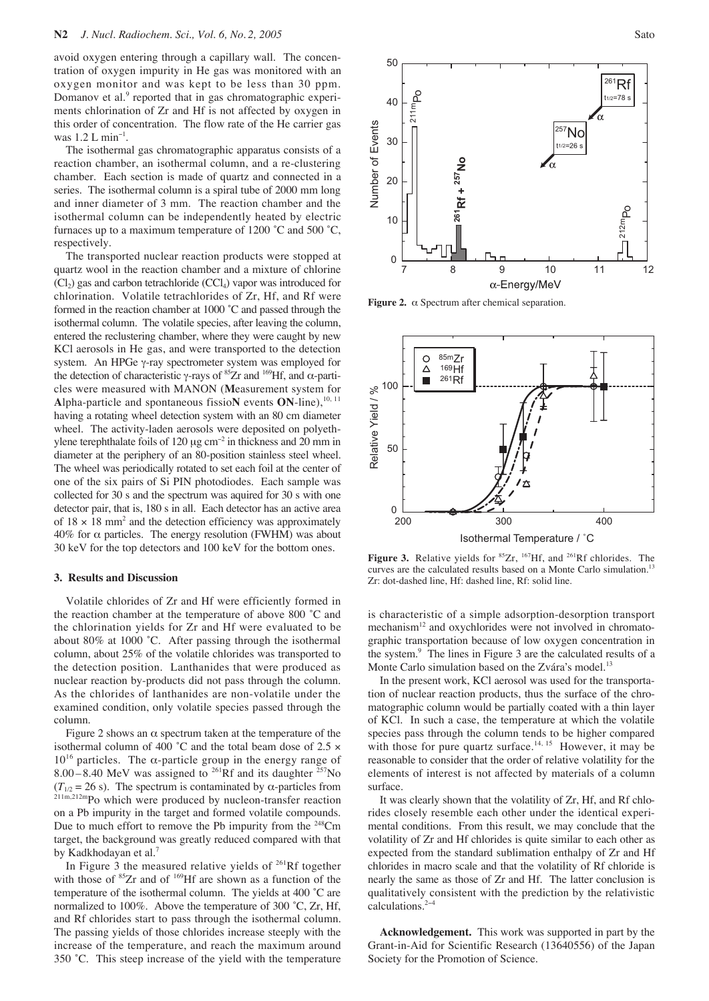avoid oxygen entering through a capillary wall. The concentration of oxygen impurity in He gas was monitored with an oxygen monitor and was kept to be less than 30 ppm. Domanov et al.<sup>9</sup> reported that in gas chromatographic experiments chlorination of Zr and Hf is not affected by oxygen in this order of concentration. The flow rate of the He carrier gas was  $1.2$  L min<sup>-1</sup>.

The isothermal gas chromatographic apparatus consists of a reaction chamber, an isothermal column, and a re-clustering chamber. Each section is made of quartz and connected in a series. The isothermal column is a spiral tube of 2000 mm long and inner diameter of 3 mm. The reaction chamber and the isothermal column can be independently heated by electric furnaces up to a maximum temperature of  $1200 \degree C$  and  $500 \degree C$ , respectively.

The transported nuclear reaction products were stopped at quartz wool in the reaction chamber and a mixture of chlorine  $(Cl<sub>2</sub>)$  gas and carbon tetrachloride  $(CCl<sub>4</sub>)$  vapor was introduced for chlorination. Volatile tetrachlorides of Zr, Hf, and Rf were formed in the reaction chamber at 1000 ˚C and passed through the isothermal column. The volatile species, after leaving the column, entered the reclustering chamber, where they were caught by new KCl aerosols in He gas, and were transported to the detection system. An HPGe γ-ray spectrometer system was employed for the detection of characteristic γ-rays of <sup>85</sup>Zr and <sup>169</sup>Hf, and α-particles were measured with MANON (**M**easurement system for Alpha-particle and spontaneous fissioN events ON-line),<sup>10, 11</sup> having a rotating wheel detection system with an 80 cm diameter wheel. The activity-laden aerosols were deposited on polyethylene terephthalate foils of 120 µg cm<sup>−</sup><sup>2</sup> in thickness and 20 mm in diameter at the periphery of an 80-position stainless steel wheel. The wheel was periodically rotated to set each foil at the center of one of the six pairs of Si PIN photodiodes. Each sample was collected for 30 s and the spectrum was aquired for 30 s with one detector pair, that is, 180 s in all. Each detector has an active area of  $18 \times 18$  mm<sup>2</sup> and the detection efficiency was approximately  $40\%$  for  $\alpha$  particles. The energy resolution (FWHM) was about 30 keV for the top detectors and 100 keV for the bottom ones.

## **3. Results and Discussion**

Volatile chlorides of Zr and Hf were efficiently formed in the reaction chamber at the temperature of above 800 ˚C and the chlorination yields for Zr and Hf were evaluated to be about 80% at 1000 ˚C. After passing through the isothermal column, about 25% of the volatile chlorides was transported to the detection position. Lanthanides that were produced as nuclear reaction by-products did not pass through the column. As the chlorides of lanthanides are non-volatile under the examined condition, only volatile species passed through the column.

Figure 2 shows an  $\alpha$  spectrum taken at the temperature of the isothermal column of 400  $^{\circ}$ C and the total beam dose of 2.5  $\times$  $10^{16}$  particles. The α-particle group in the energy range of 8.00 – 8.40 MeV was assigned to <sup>261</sup>Rf and its daughter <sup>257</sup>No  $(T_{1/2} = 26 \text{ s})$ . The spectrum is contaminated by  $\alpha$ -particles from 211m,212mPo which were produced by nucleon-transfer reaction on a Pb impurity in the target and formed volatile compounds. Due to much effort to remove the Pb impurity from the  $248$ Cm target, the background was greatly reduced compared with that by Kadkhodayan et al.<sup>7</sup>

In Figure 3 the measured relative yields of 261Rf together with those of <sup>85</sup>Zr and of <sup>169</sup>Hf are shown as a function of the temperature of the isothermal column. The yields at 400 ˚C are normalized to 100%. Above the temperature of 300 ˚C, Zr, Hf, and Rf chlorides start to pass through the isothermal column. The passing yields of those chlorides increase steeply with the increase of the temperature, and reach the maximum around 350 ˚C. This steep increase of the yield with the temperature



**Figure 2.** α Spectrum after chemical separation.



Figure 3. Relative yields for <sup>85</sup>Zr, <sup>167</sup>Hf, and <sup>261</sup>Rf chlorides. The curves are the calculated results based on a Monte Carlo simulation.<sup>13</sup> Zr: dot-dashed line, Hf: dashed line, Rf: solid line.

is characteristic of a simple adsorption-desorption transport mechanism $12$  and oxychlorides were not involved in chromatographic transportation because of low oxygen concentration in the system.<sup>9</sup> The lines in Figure 3 are the calculated results of a Monte Carlo simulation based on the Zvára's model.<sup>13</sup>

In the present work, KCl aerosol was used for the transportation of nuclear reaction products, thus the surface of the chromatographic column would be partially coated with a thin layer of KCl. In such a case, the temperature at which the volatile species pass through the column tends to be higher compared with those for pure quartz surface.<sup>14, 15</sup> However, it may be reasonable to consider that the order of relative volatility for the elements of interest is not affected by materials of a column surface.

It was clearly shown that the volatility of Zr, Hf, and Rf chlorides closely resemble each other under the identical experimental conditions. From this result, we may conclude that the volatility of Zr and Hf chlorides is quite similar to each other as expected from the standard sublimation enthalpy of Zr and Hf chlorides in macro scale and that the volatility of Rf chloride is nearly the same as those of Zr and Hf. The latter conclusion is qualitatively consistent with the prediction by the relativistic calculations.2−<sup>4</sup>

**Acknowledgement.** This work was supported in part by the Grant-in-Aid for Scientific Research (13640556) of the Japan Society for the Promotion of Science.